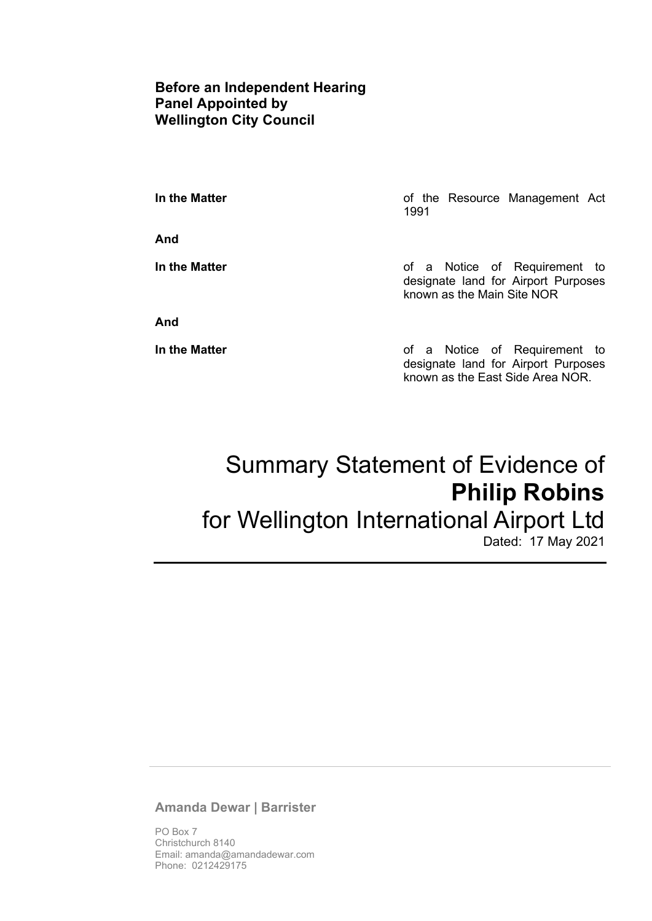## **Before an Independent Hearing Panel Appointed by Wellington City Council**

**And** 

**In the Matter In the Matter of the Resource Management Act** 1991

**In the Matter In the Matter of a Notice of Requirement to** designate land for Airport Purposes known as the Main Site NOR

**And** 

**In the Matter In the Matter of a Notice of Requirement to** designate land for Airport Purposes known as the East Side Area NOR.

# Summary Statement of Evidence of **Philip Robins**  for Wellington International Airport Ltd

Dated: 17 May 2021

#### **Amanda Dewar | Barrister**

PO Box 7 Christchurch 8140 Email: amanda@amandadewar.com Phone: 0212429175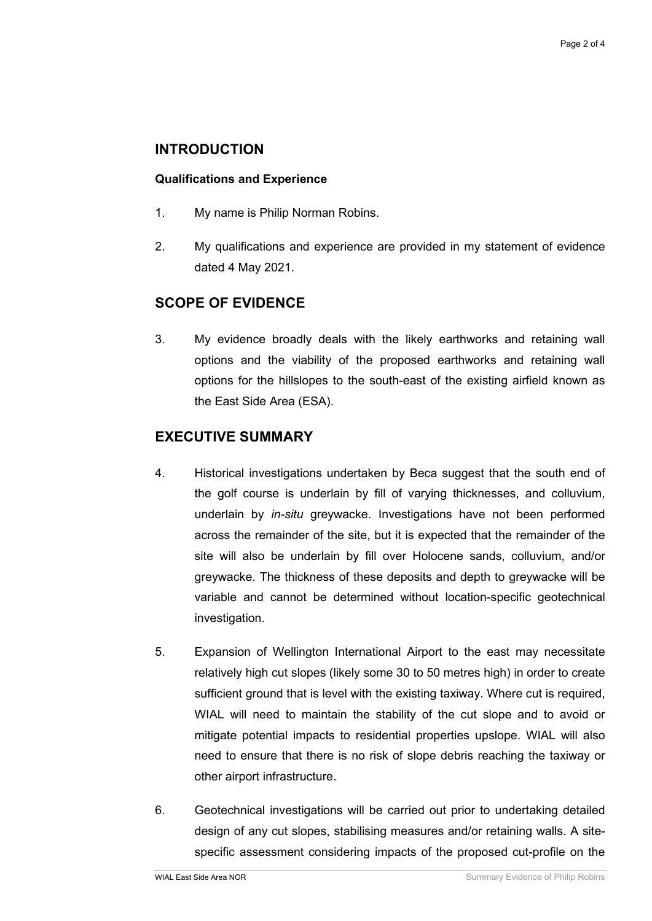## **INTRODUCTION**

#### **Qualifications and Experience**

- 1. My name is Philip Norman Robins.
- 2. My qualifications and experience are provided in my statement of evidence dated 4 May 2021.

## **SCOPE OF EVIDENCE**

3. My evidence broadly deals with the likely earthworks and retaining wall options and the viability of the proposed earthworks and retaining wall options for the hillslopes to the south-east of the existing airfield known as the East Side Area (ESA).

## **EXECUTIVE SUMMARY**

- 4. Historical investigations undertaken by Beca suggest that the south end of the golf course is underlain by fill of varying thicknesses, and colluvium, underlain by *in-situ* greywacke. Investigations have not been performed across the remainder of the site, but it is expected that the remainder of the site will also be underlain by fill over Holocene sands, colluvium, and/or greywacke. The thickness of these deposits and depth to greywacke will be variable and cannot be determined without location-specific geotechnical investigation.
- 5. Expansion of Wellington International Airport to the east may necessitate relatively high cut slopes (likely some 30 to 50 metres high) in order to create sufficient ground that is level with the existing taxiway. Where cut is required, WIAL will need to maintain the stability of the cut slope and to avoid or mitigate potential impacts to residential properties upslope. WIAL will also need to ensure that there is no risk of slope debris reaching the taxiway or other airport infrastructure.
- 6. Geotechnical investigations will be carried out prior to undertaking detailed design of any cut slopes, stabilising measures and/or retaining walls. A sitespecific assessment considering impacts of the proposed cut-profile on the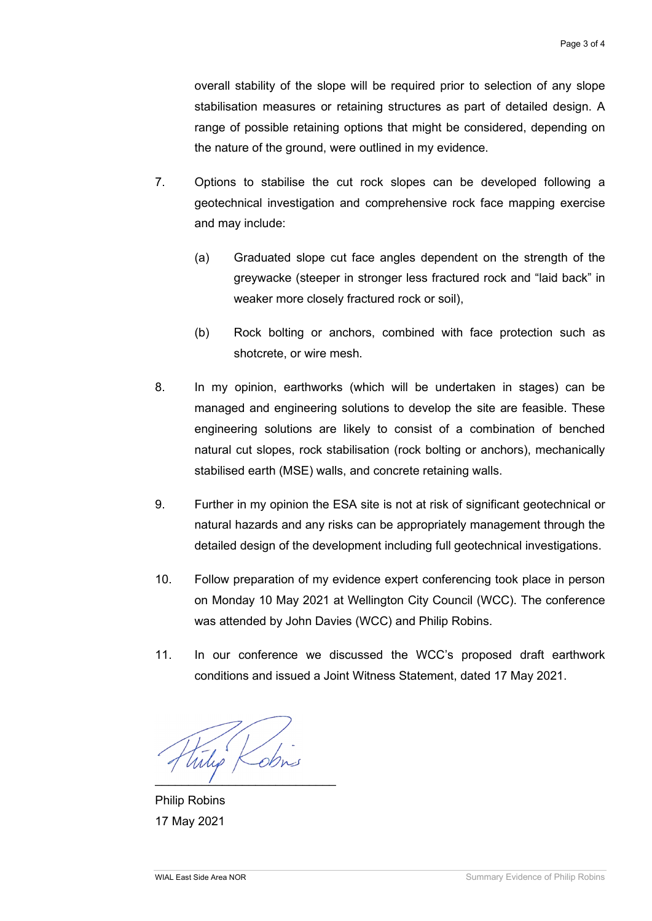overall stability of the slope will be required prior to selection of any slope stabilisation measures or retaining structures as part of detailed design. A range of possible retaining options that might be considered, depending on the nature of the ground, were outlined in my evidence.

- 7. Options to stabilise the cut rock slopes can be developed following a geotechnical investigation and comprehensive rock face mapping exercise and may include:
	- (a) Graduated slope cut face angles dependent on the strength of the greywacke (steeper in stronger less fractured rock and "laid back" in weaker more closely fractured rock or soil),
	- (b) Rock bolting or anchors, combined with face protection such as shotcrete, or wire mesh.
- 8. In my opinion, earthworks (which will be undertaken in stages) can be managed and engineering solutions to develop the site are feasible. These engineering solutions are likely to consist of a combination of benched natural cut slopes, rock stabilisation (rock bolting or anchors), mechanically stabilised earth (MSE) walls, and concrete retaining walls.
- 9. Further in my opinion the ESA site is not at risk of significant geotechnical or natural hazards and any risks can be appropriately management through the detailed design of the development including full geotechnical investigations.
- 10. Follow preparation of my evidence expert conferencing took place in person on Monday 10 May 2021 at Wellington City Council (WCC). The conference was attended by John Davies (WCC) and Philip Robins.
- 11. In our conference we discussed the WCC's proposed draft earthwork conditions and issued a Joint Witness Statement, dated 17 May 2021.

Wilip Kobns  $\overline{\phantom{a}}$ 

Philip Robins 17 May 2021